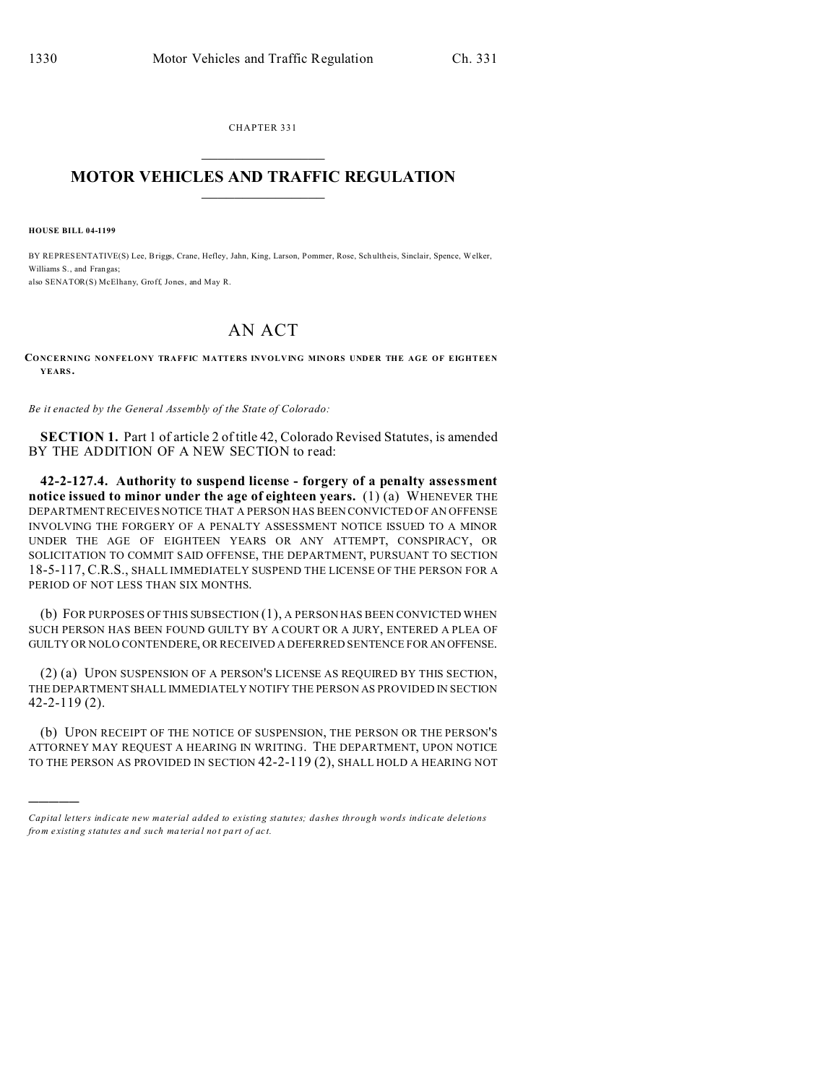CHAPTER 331  $\overline{\phantom{a}}$  , where  $\overline{\phantom{a}}$ 

## **MOTOR VEHICLES AND TRAFFIC REGULATION**  $\frac{1}{2}$  ,  $\frac{1}{2}$  ,  $\frac{1}{2}$  ,  $\frac{1}{2}$  ,  $\frac{1}{2}$  ,  $\frac{1}{2}$  ,  $\frac{1}{2}$

**HOUSE BILL 04-1199**

)))))

BY REPRESENTATIVE(S) Lee, Briggs, Crane, Hefley, Jahn, King, Larson, Pommer, Rose, Sch ultheis, Sinclair, Spence, Welker, Williams S., and Frangas; also SENATOR(S) McElhany, Groff, Jones, and May R.

## AN ACT

**CONCERNING NONFELONY TRAFFIC MATTERS INVOLVING MINORS UNDER THE AGE OF EIGHTEEN YEARS.**

*Be it enacted by the General Assembly of the State of Colorado:*

**SECTION 1.** Part 1 of article 2 of title 42, Colorado Revised Statutes, is amended BY THE ADDITION OF A NEW SECTION to read:

**42-2-127.4. Authority to suspend license - forgery of a penalty assessment notice issued to minor under the age of eighteen years.** (1) (a) WHENEVER THE DEPARTMENT RECEIVES NOTICE THAT A PERSON HAS BEEN CONVICTED OF AN OFFENSE INVOLVING THE FORGERY OF A PENALTY ASSESSMENT NOTICE ISSUED TO A MINOR UNDER THE AGE OF EIGHTEEN YEARS OR ANY ATTEMPT, CONSPIRACY, OR SOLICITATION TO COMMIT SAID OFFENSE, THE DEPARTMENT, PURSUANT TO SECTION 18-5-117, C.R.S., SHALL IMMEDIATELY SUSPEND THE LICENSE OF THE PERSON FOR A PERIOD OF NOT LESS THAN SIX MONTHS.

(b) FOR PURPOSES OF THIS SUBSECTION (1), A PERSON HAS BEEN CONVICTED WHEN SUCH PERSON HAS BEEN FOUND GUILTY BY A COURT OR A JURY, ENTERED A PLEA OF GUILTY OR NOLO CONTENDERE, OR RECEIVED A DEFERRED SENTENCE FOR AN OFFENSE.

(2) (a) UPON SUSPENSION OF A PERSON'S LICENSE AS REQUIRED BY THIS SECTION, THE DEPARTMENT SHALL IMMEDIATELY NOTIFY THE PERSON AS PROVIDED IN SECTION 42-2-119 (2).

(b) UPON RECEIPT OF THE NOTICE OF SUSPENSION, THE PERSON OR THE PERSON'S ATTORNEY MAY REQUEST A HEARING IN WRITING. THE DEPARTMENT, UPON NOTICE TO THE PERSON AS PROVIDED IN SECTION 42-2-119 (2), SHALL HOLD A HEARING NOT

*Capital letters indicate new material added to existing statutes; dashes through words indicate deletions from e xistin g statu tes a nd such ma teria l no t pa rt of ac t.*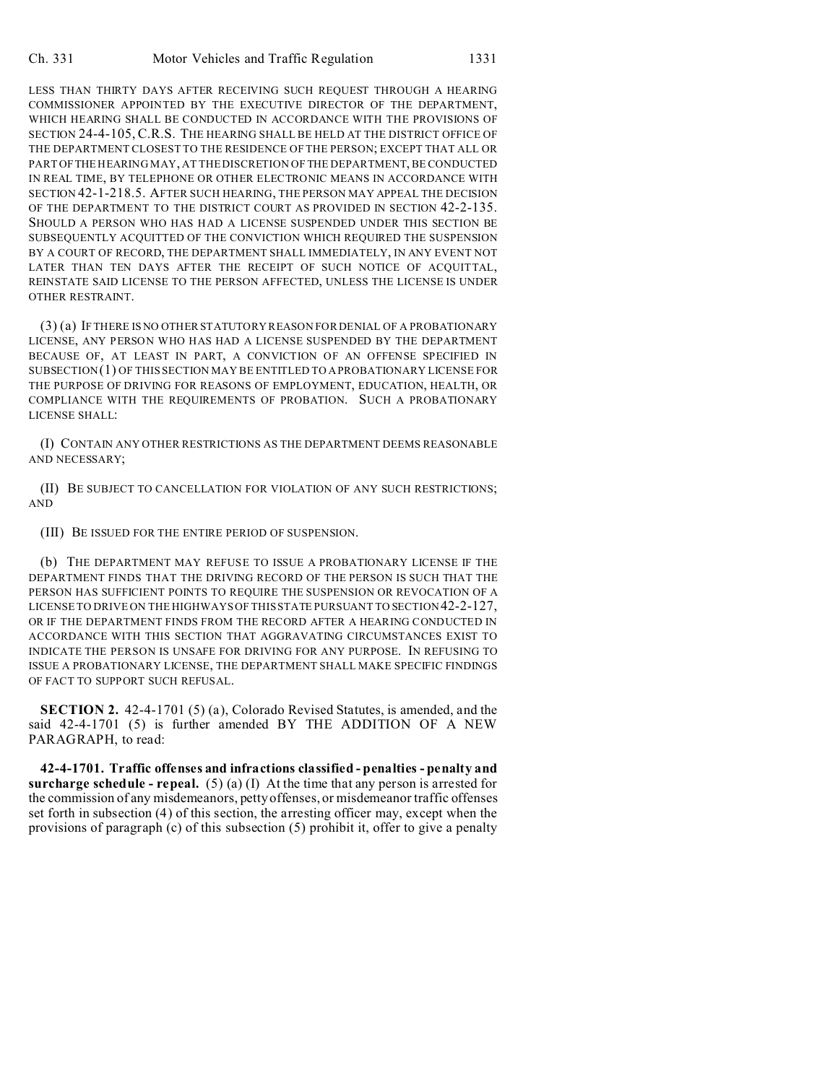LESS THAN THIRTY DAYS AFTER RECEIVING SUCH REQUEST THROUGH A HEARING COMMISSIONER APPOINTED BY THE EXECUTIVE DIRECTOR OF THE DEPARTMENT, WHICH HEARING SHALL BE CONDUCTED IN ACCORDANCE WITH THE PROVISIONS OF SECTION 24-4-105, C.R.S. THE HEARING SHALL BE HELD AT THE DISTRICT OFFICE OF THE DEPARTMENT CLOSEST TO THE RESIDENCE OF THE PERSON; EXCEPT THAT ALL OR PART OFTHE HEARING MAY, AT THE DISCRETION OF THE DEPARTMENT, BE CONDUCTED IN REAL TIME, BY TELEPHONE OR OTHER ELECTRONIC MEANS IN ACCORDANCE WITH SECTION 42-1-218.5. AFTER SUCH HEARING, THE PERSON MAY APPEAL THE DECISION OF THE DEPARTMENT TO THE DISTRICT COURT AS PROVIDED IN SECTION 42-2-135. SHOULD A PERSON WHO HAS HAD A LICENSE SUSPENDED UNDER THIS SECTION BE SUBSEQUENTLY ACQUITTED OF THE CONVICTION WHICH REQUIRED THE SUSPENSION BY A COURT OF RECORD, THE DEPARTMENT SHALL IMMEDIATELY, IN ANY EVENT NOT LATER THAN TEN DAYS AFTER THE RECEIPT OF SUCH NOTICE OF ACQUITTAL, REINSTATE SAID LICENSE TO THE PERSON AFFECTED, UNLESS THE LICENSE IS UNDER OTHER RESTRAINT.

(3) (a) IF THERE IS NO OTHER STATUTORY REASON FOR DENIAL OF A PROBATIONARY LICENSE, ANY PERSON WHO HAS HAD A LICENSE SUSPENDED BY THE DEPARTMENT BECAUSE OF, AT LEAST IN PART, A CONVICTION OF AN OFFENSE SPECIFIED IN SUBSECTION(1) OF THIS SECTION MAY BE ENTITLED TO A PROBATIONARY LICENSE FOR THE PURPOSE OF DRIVING FOR REASONS OF EMPLOYMENT, EDUCATION, HEALTH, OR COMPLIANCE WITH THE REQUIREMENTS OF PROBATION. SUCH A PROBATIONARY LICENSE SHALL:

(I) CONTAIN ANY OTHER RESTRICTIONS AS THE DEPARTMENT DEEMS REASONABLE AND NECESSARY;

(II) BE SUBJECT TO CANCELLATION FOR VIOLATION OF ANY SUCH RESTRICTIONS; AND

(III) BE ISSUED FOR THE ENTIRE PERIOD OF SUSPENSION.

(b) THE DEPARTMENT MAY REFUSE TO ISSUE A PROBATIONARY LICENSE IF THE DEPARTMENT FINDS THAT THE DRIVING RECORD OF THE PERSON IS SUCH THAT THE PERSON HAS SUFFICIENT POINTS TO REQUIRE THE SUSPENSION OR REVOCATION OF A LICENSE TO DRIVE ON THE HIGHWAYS OF THIS STATE PURSUANT TO SECTION 42-2-127, OR IF THE DEPARTMENT FINDS FROM THE RECORD AFTER A HEARING CONDUCTED IN ACCORDANCE WITH THIS SECTION THAT AGGRAVATING CIRCUMSTANCES EXIST TO INDICATE THE PERSON IS UNSAFE FOR DRIVING FOR ANY PURPOSE. IN REFUSING TO ISSUE A PROBATIONARY LICENSE, THE DEPARTMENT SHALL MAKE SPECIFIC FINDINGS OF FACT TO SUPPORT SUCH REFUSAL.

**SECTION 2.** 42-4-1701 (5) (a), Colorado Revised Statutes, is amended, and the said 42-4-1701 (5) is further amended BY THE ADDITION OF A NEW PARAGRAPH, to read:

**42-4-1701. Traffic offenses and infractions classified - penalties - penalty and surcharge schedule - repeal.** (5) (a) (I) At the time that any person is arrested for the commission of any misdemeanors, petty offenses, or misdemeanor traffic offenses set forth in subsection (4) of this section, the arresting officer may, except when the provisions of paragraph (c) of this subsection (5) prohibit it, offer to give a penalty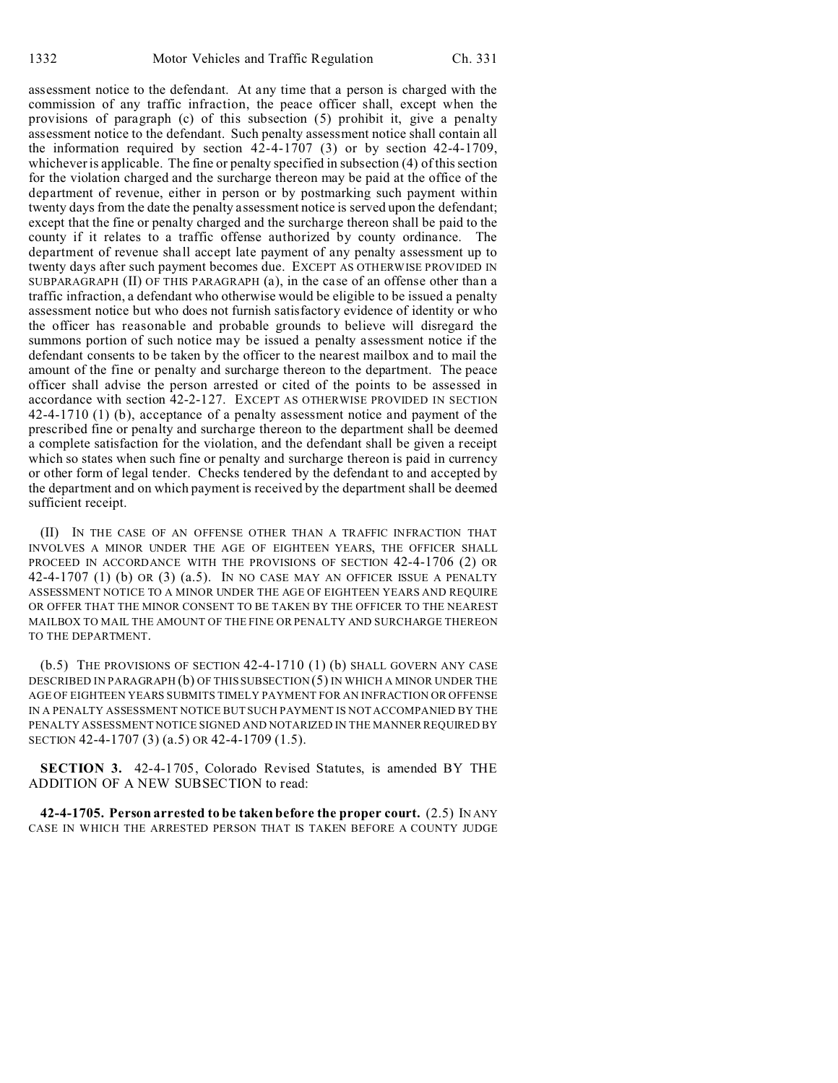assessment notice to the defendant. At any time that a person is charged with the commission of any traffic infraction, the peace officer shall, except when the provisions of paragraph (c) of this subsection (5) prohibit it, give a penalty assessment notice to the defendant. Such penalty assessment notice shall contain all the information required by section 42-4-1707 (3) or by section 42-4-1709, whichever is applicable. The fine or penalty specified in subsection (4) of this section for the violation charged and the surcharge thereon may be paid at the office of the department of revenue, either in person or by postmarking such payment within twenty days from the date the penalty assessment notice is served upon the defendant; except that the fine or penalty charged and the surcharge thereon shall be paid to the county if it relates to a traffic offense authorized by county ordinance. The department of revenue shall accept late payment of any penalty assessment up to twenty days after such payment becomes due. EXCEPT AS OTHERWISE PROVIDED IN SUBPARAGRAPH (II) OF THIS PARAGRAPH (a), in the case of an offense other than a traffic infraction, a defendant who otherwise would be eligible to be issued a penalty assessment notice but who does not furnish satisfactory evidence of identity or who the officer has reasonable and probable grounds to believe will disregard the summons portion of such notice may be issued a penalty assessment notice if the defendant consents to be taken by the officer to the nearest mailbox and to mail the amount of the fine or penalty and surcharge thereon to the department. The peace officer shall advise the person arrested or cited of the points to be assessed in accordance with section 42-2-127. EXCEPT AS OTHERWISE PROVIDED IN SECTION 42-4-1710 (1) (b), acceptance of a penalty assessment notice and payment of the prescribed fine or penalty and surcharge thereon to the department shall be deemed a complete satisfaction for the violation, and the defendant shall be given a receipt which so states when such fine or penalty and surcharge thereon is paid in currency or other form of legal tender. Checks tendered by the defendant to and accepted by the department and on which payment is received by the department shall be deemed sufficient receipt.

(II) IN THE CASE OF AN OFFENSE OTHER THAN A TRAFFIC INFRACTION THAT INVOLVES A MINOR UNDER THE AGE OF EIGHTEEN YEARS, THE OFFICER SHALL PROCEED IN ACCORDANCE WITH THE PROVISIONS OF SECTION 42-4-1706 (2) OR 42-4-1707 (1) (b) OR  $(3)$   $(a.5)$ . In no case may an officer issue a penalty ASSESSMENT NOTICE TO A MINOR UNDER THE AGE OF EIGHTEEN YEARS AND REQUIRE OR OFFER THAT THE MINOR CONSENT TO BE TAKEN BY THE OFFICER TO THE NEAREST MAILBOX TO MAIL THE AMOUNT OF THE FINE OR PENALTY AND SURCHARGE THEREON TO THE DEPARTMENT.

(b.5) THE PROVISIONS OF SECTION 42-4-1710 (1) (b) SHALL GOVERN ANY CASE DESCRIBED IN PARAGRAPH (b) OF THIS SUBSECTION (5) IN WHICH A MINOR UNDER THE AGE OF EIGHTEEN YEARS SUBMITS TIMELY PAYMENT FOR AN INFRACTION OR OFFENSE IN A PENALTY ASSESSMENT NOTICE BUT SUCH PAYMENT IS NOT ACCOMPANIED BY THE PENALTY ASSESSMENT NOTICE SIGNED AND NOTARIZED IN THE MANNER REQUIRED BY SECTION 42-4-1707 (3) (a.5) OR 42-4-1709 (1.5).

**SECTION 3.** 42-4-1705, Colorado Revised Statutes, is amended BY THE ADDITION OF A NEW SUBSECTION to read:

**42-4-1705. Person arrested to be taken before the proper court.** (2.5) IN ANY CASE IN WHICH THE ARRESTED PERSON THAT IS TAKEN BEFORE A COUNTY JUDGE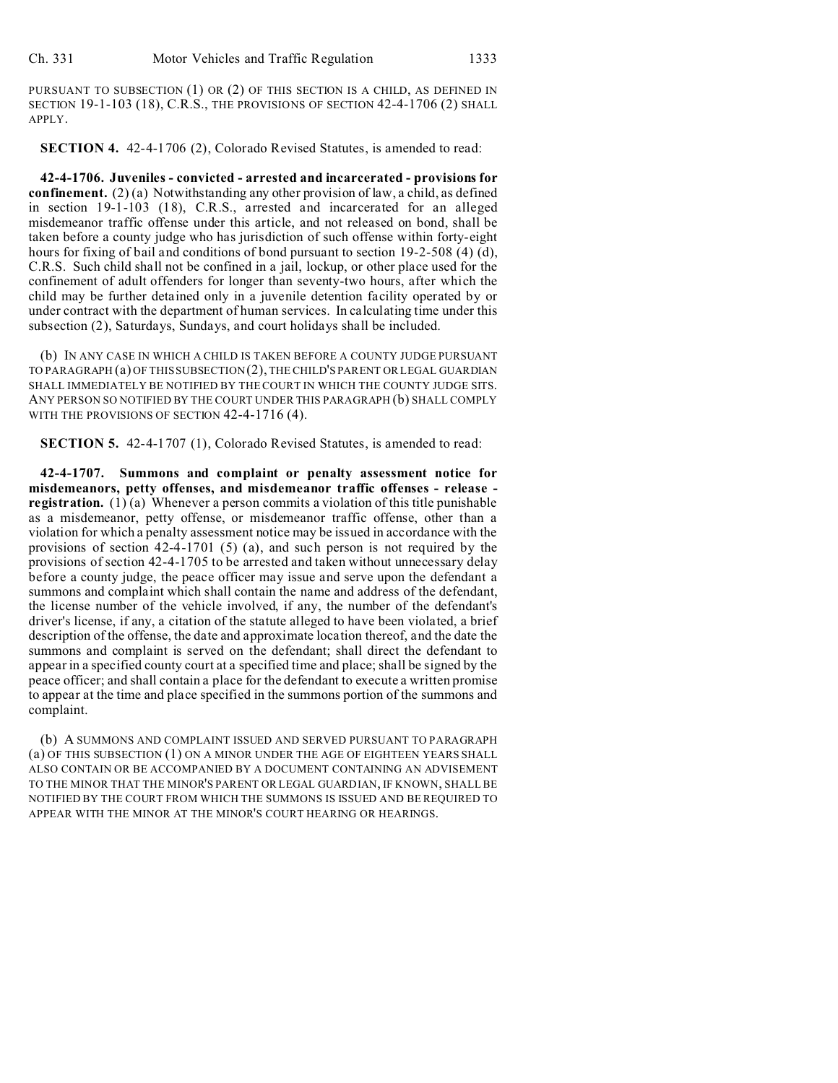PURSUANT TO SUBSECTION (1) OR (2) OF THIS SECTION IS A CHILD, AS DEFINED IN SECTION 19-1-103 (18), C.R.S., THE PROVISIONS OF SECTION 42-4-1706 (2) SHALL APPLY.

**SECTION 4.** 42-4-1706 (2), Colorado Revised Statutes, is amended to read:

**42-4-1706. Juveniles - convicted - arrested and incarcerated - provisions for confinement.** (2) (a) Notwithstanding any other provision of law, a child, as defined in section 19-1-103 (18), C.R.S., arrested and incarcerated for an alleged misdemeanor traffic offense under this article, and not released on bond, shall be taken before a county judge who has jurisdiction of such offense within forty-eight hours for fixing of bail and conditions of bond pursuant to section 19-2-508 (4) (d), C.R.S. Such child shall not be confined in a jail, lockup, or other place used for the confinement of adult offenders for longer than seventy-two hours, after which the child may be further detained only in a juvenile detention facility operated by or under contract with the department of human services. In calculating time under this subsection (2), Saturdays, Sundays, and court holidays shall be included.

(b) IN ANY CASE IN WHICH A CHILD IS TAKEN BEFORE A COUNTY JUDGE PURSUANT TO PARAGRAPH (a) OF THIS SUBSECTION (2), THE CHILD'S PARENT OR LEGAL GUARDIAN SHALL IMMEDIATELY BE NOTIFIED BY THE COURT IN WHICH THE COUNTY JUDGE SITS. ANY PERSON SO NOTIFIED BY THE COURT UNDER THIS PARAGRAPH (b) SHALL COMPLY WITH THE PROVISIONS OF SECTION 42-4-1716 (4).

**SECTION 5.** 42-4-1707 (1), Colorado Revised Statutes, is amended to read:

**42-4-1707. Summons and complaint or penalty assessment notice for misdemeanors, petty offenses, and misdemeanor traffic offenses - release registration.** (1) $(a)$  Whenever a person commits a violation of this title punishable as a misdemeanor, petty offense, or misdemeanor traffic offense, other than a violation for which a penalty assessment notice may be issued in accordance with the provisions of section 42-4-1701 (5) (a), and such person is not required by the provisions of section 42-4-1705 to be arrested and taken without unnecessary delay before a county judge, the peace officer may issue and serve upon the defendant a summons and complaint which shall contain the name and address of the defendant, the license number of the vehicle involved, if any, the number of the defendant's driver's license, if any, a citation of the statute alleged to have been violated, a brief description of the offense, the date and approximate location thereof, and the date the summons and complaint is served on the defendant; shall direct the defendant to appear in a specified county court at a specified time and place; shall be signed by the peace officer; and shall contain a place for the defendant to execute a written promise to appear at the time and place specified in the summons portion of the summons and complaint.

(b) A SUMMONS AND COMPLAINT ISSUED AND SERVED PURSUANT TO PARAGRAPH (a) OF THIS SUBSECTION (1) ON A MINOR UNDER THE AGE OF EIGHTEEN YEARS SHALL ALSO CONTAIN OR BE ACCOMPANIED BY A DOCUMENT CONTAINING AN ADVISEMENT TO THE MINOR THAT THE MINOR'S PARENT OR LEGAL GUARDIAN, IF KNOWN, SHALL BE NOTIFIED BY THE COURT FROM WHICH THE SUMMONS IS ISSUED AND BE REQUIRED TO APPEAR WITH THE MINOR AT THE MINOR'S COURT HEARING OR HEARINGS.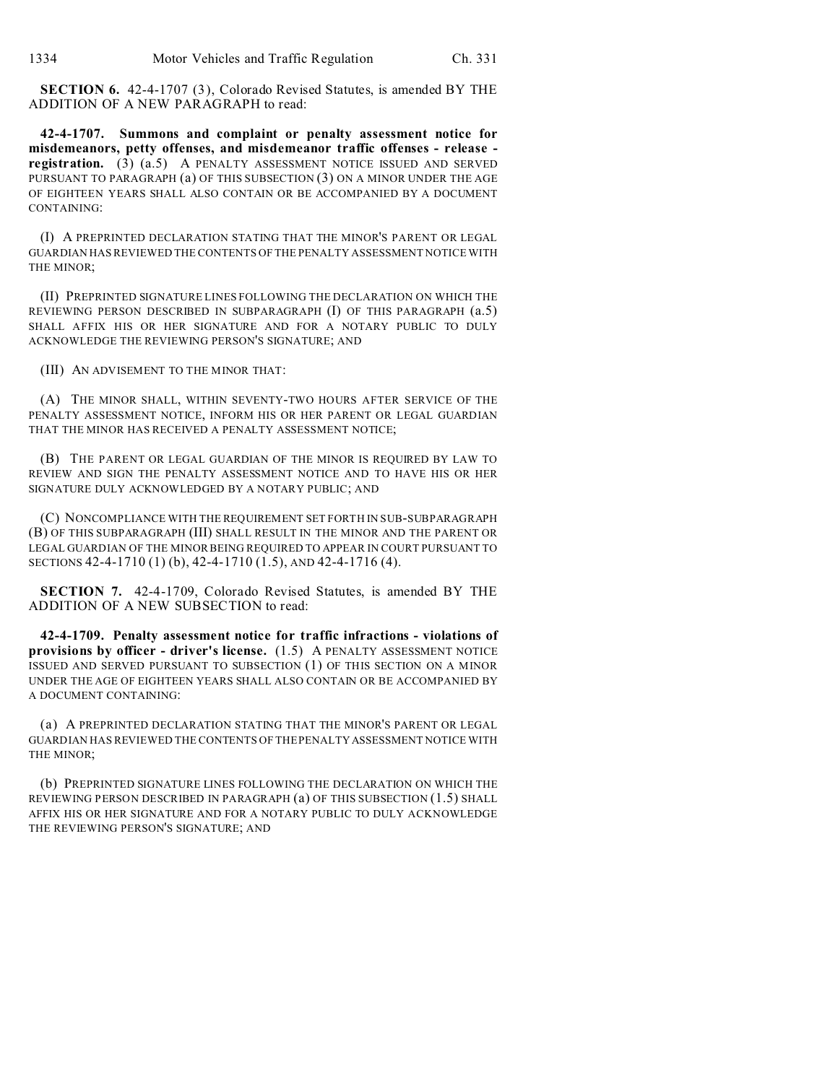**SECTION 6.** 42-4-1707 (3), Colorado Revised Statutes, is amended BY THE ADDITION OF A NEW PARAGRAPH to read:

**42-4-1707. Summons and complaint or penalty assessment notice for misdemeanors, petty offenses, and misdemeanor traffic offenses - release registration.** (3) (a.5) A PENALTY ASSESSMENT NOTICE ISSUED AND SERVED PURSUANT TO PARAGRAPH (a) OF THIS SUBSECTION (3) ON A MINOR UNDER THE AGE OF EIGHTEEN YEARS SHALL ALSO CONTAIN OR BE ACCOMPANIED BY A DOCUMENT CONTAINING:

(I) A PREPRINTED DECLARATION STATING THAT THE MINOR'S PARENT OR LEGAL GUARDIAN HAS REVIEWED THE CONTENTS OF THE PENALTY ASSESSMENT NOTICE WITH THE MINOR;

(II) PREPRINTED SIGNATURE LINES FOLLOWING THE DECLARATION ON WHICH THE REVIEWING PERSON DESCRIBED IN SUBPARAGRAPH (I) OF THIS PARAGRAPH (a.5) SHALL AFFIX HIS OR HER SIGNATURE AND FOR A NOTARY PUBLIC TO DULY ACKNOWLEDGE THE REVIEWING PERSON'S SIGNATURE; AND

(III) AN ADVISEMENT TO THE MINOR THAT:

(A) THE MINOR SHALL, WITHIN SEVENTY-TWO HOURS AFTER SERVICE OF THE PENALTY ASSESSMENT NOTICE, INFORM HIS OR HER PARENT OR LEGAL GUARDIAN THAT THE MINOR HAS RECEIVED A PENALTY ASSESSMENT NOTICE;

(B) THE PARENT OR LEGAL GUARDIAN OF THE MINOR IS REQUIRED BY LAW TO REVIEW AND SIGN THE PENALTY ASSESSMENT NOTICE AND TO HAVE HIS OR HER SIGNATURE DULY ACKNOWLEDGED BY A NOTARY PUBLIC; AND

(C) NONCOMPLIANCE WITH THE REQUIREMENT SET FORTH IN SUB-SUBPARAGRAPH (B) OF THIS SUBPARAGRAPH (III) SHALL RESULT IN THE MINOR AND THE PARENT OR LEGAL GUARDIAN OF THE MINOR BEING REQUIRED TO APPEAR IN COURT PURSUANT TO SECTIONS 42-4-1710 (1) (b), 42-4-1710 (1.5), AND 42-4-1716 (4).

**SECTION 7.** 42-4-1709, Colorado Revised Statutes, is amended BY THE ADDITION OF A NEW SUBSECTION to read:

**42-4-1709. Penalty assessment notice for traffic infractions - violations of provisions by officer - driver's license.** (1.5) A PENALTY ASSESSMENT NOTICE ISSUED AND SERVED PURSUANT TO SUBSECTION (1) OF THIS SECTION ON A MINOR UNDER THE AGE OF EIGHTEEN YEARS SHALL ALSO CONTAIN OR BE ACCOMPANIED BY A DOCUMENT CONTAINING:

(a) A PREPRINTED DECLARATION STATING THAT THE MINOR'S PARENT OR LEGAL GUARDIAN HAS REVIEWED THE CONTENTS OF THE PENALTY ASSESSMENT NOTICE WITH THE MINOR;

(b) PREPRINTED SIGNATURE LINES FOLLOWING THE DECLARATION ON WHICH THE REVIEWING PERSON DESCRIBED IN PARAGRAPH (a) OF THIS SUBSECTION (1.5) SHALL AFFIX HIS OR HER SIGNATURE AND FOR A NOTARY PUBLIC TO DULY ACKNOWLEDGE THE REVIEWING PERSON'S SIGNATURE; AND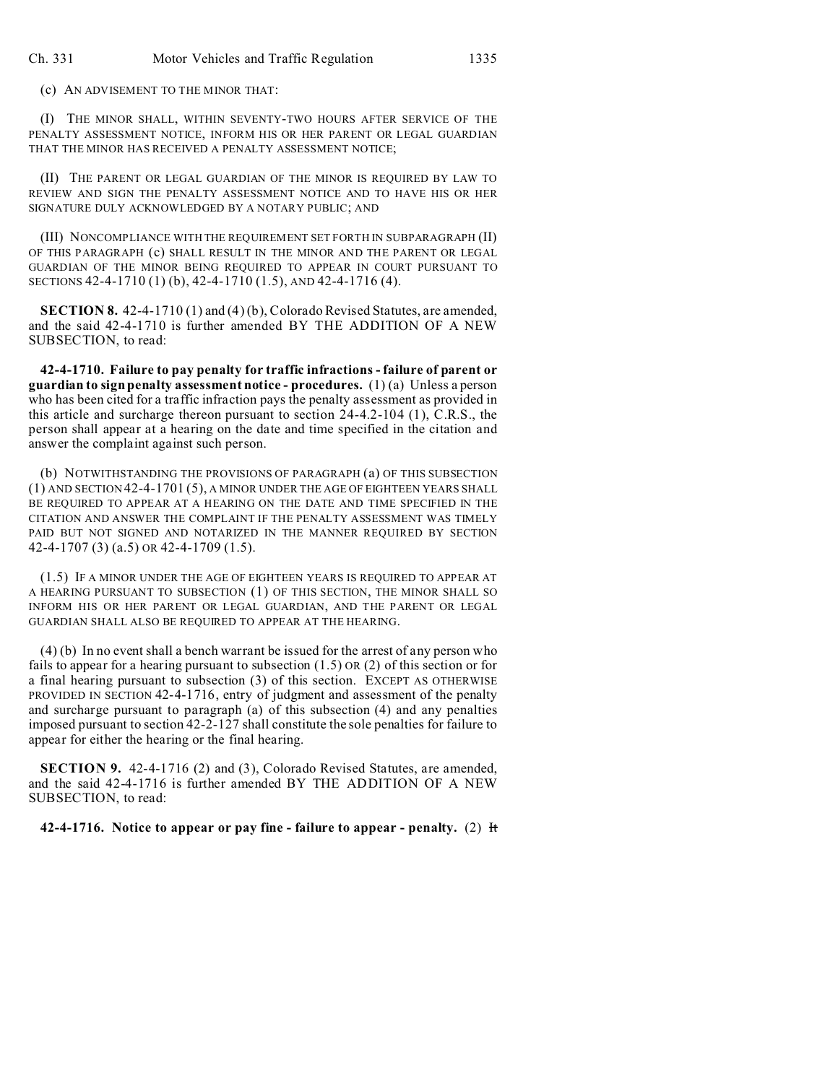(c) AN ADVISEMENT TO THE MINOR THAT:

(I) THE MINOR SHALL, WITHIN SEVENTY-TWO HOURS AFTER SERVICE OF THE PENALTY ASSESSMENT NOTICE, INFORM HIS OR HER PARENT OR LEGAL GUARDIAN THAT THE MINOR HAS RECEIVED A PENALTY ASSESSMENT NOTICE;

(II) THE PARENT OR LEGAL GUARDIAN OF THE MINOR IS REQUIRED BY LAW TO REVIEW AND SIGN THE PENALTY ASSESSMENT NOTICE AND TO HAVE HIS OR HER SIGNATURE DULY ACKNOWLEDGED BY A NOTARY PUBLIC; AND

(III) NONCOMPLIANCE WITH THE REQUIREMENT SET FORTH IN SUBPARAGRAPH (II) OF THIS PARAGRAPH (c) SHALL RESULT IN THE MINOR AND THE PARENT OR LEGAL GUARDIAN OF THE MINOR BEING REQUIRED TO APPEAR IN COURT PURSUANT TO SECTIONS 42-4-1710 (1) (b), 42-4-1710 (1.5), AND 42-4-1716 (4).

**SECTION 8.** 42-4-1710 (1) and (4) (b), Colorado Revised Statutes, are amended, and the said 42-4-1710 is further amended BY THE ADDITION OF A NEW SUBSECTION, to read:

**42-4-1710. Failure to pay penalty for traffic infractions - failure of parent or guardian to sign penalty assessment notice - procedures.** (1) (a) Unless a person who has been cited for a traffic infraction pays the penalty assessment as provided in this article and surcharge thereon pursuant to section 24-4.2-104 (1), C.R.S., the person shall appear at a hearing on the date and time specified in the citation and answer the complaint against such person.

(b) NOTWITHSTANDING THE PROVISIONS OF PARAGRAPH (a) OF THIS SUBSECTION (1) AND SECTION 42-4-1701 (5), A MINOR UNDER THE AGE OF EIGHTEEN YEARS SHALL BE REQUIRED TO APPEAR AT A HEARING ON THE DATE AND TIME SPECIFIED IN THE CITATION AND ANSWER THE COMPLAINT IF THE PENALTY ASSESSMENT WAS TIMELY PAID BUT NOT SIGNED AND NOTARIZED IN THE MANNER REQUIRED BY SECTION 42-4-1707 (3) (a.5) OR 42-4-1709 (1.5).

(1.5) IF A MINOR UNDER THE AGE OF EIGHTEEN YEARS IS REQUIRED TO APPEAR AT A HEARING PURSUANT TO SUBSECTION (1) OF THIS SECTION, THE MINOR SHALL SO INFORM HIS OR HER PARENT OR LEGAL GUARDIAN, AND THE PARENT OR LEGAL GUARDIAN SHALL ALSO BE REQUIRED TO APPEAR AT THE HEARING.

(4) (b) In no event shall a bench warrant be issued for the arrest of any person who fails to appear for a hearing pursuant to subsection  $(1.5)$  OR  $(2)$  of this section or for a final hearing pursuant to subsection (3) of this section. EXCEPT AS OTHERWISE PROVIDED IN SECTION 42-4-1716, entry of judgment and assessment of the penalty and surcharge pursuant to paragraph (a) of this subsection (4) and any penalties imposed pursuant to section 42-2-127 shall constitute the sole penalties for failure to appear for either the hearing or the final hearing.

**SECTION 9.** 42-4-1716 (2) and (3), Colorado Revised Statutes, are amended, and the said 42-4-1716 is further amended BY THE ADDITION OF A NEW SUBSECTION, to read:

**42-4-1716. Notice to appear or pay fine - failure to appear - penalty.** (2) It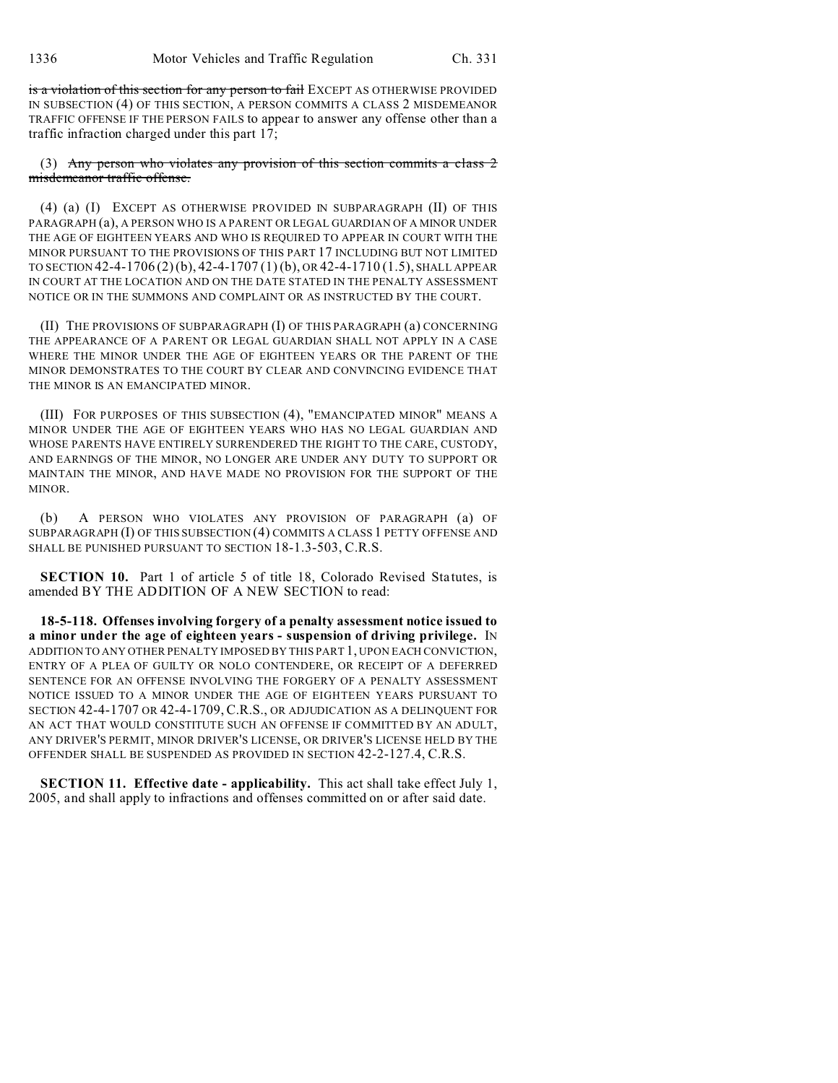is a violation of this section for any person to fail EXCEPT AS OTHERWISE PROVIDED IN SUBSECTION (4) OF THIS SECTION, A PERSON COMMITS A CLASS 2 MISDEMEANOR TRAFFIC OFFENSE IF THE PERSON FAILS to appear to answer any offense other than a traffic infraction charged under this part 17;

(3) Any person who violates any provision of this section commits a class  $2$ misdemeanor traffic offense.

(4) (a) (I) EXCEPT AS OTHERWISE PROVIDED IN SUBPARAGRAPH (II) OF THIS PARAGRAPH (a), A PERSON WHO IS A PARENT OR LEGAL GUARDIAN OF A MINOR UNDER THE AGE OF EIGHTEEN YEARS AND WHO IS REQUIRED TO APPEAR IN COURT WITH THE MINOR PURSUANT TO THE PROVISIONS OF THIS PART 17 INCLUDING BUT NOT LIMITED TO SECTION 42-4-1706 (2)(b), 42-4-1707 (1) (b), OR 42-4-1710 (1.5), SHALL APPEAR IN COURT AT THE LOCATION AND ON THE DATE STATED IN THE PENALTY ASSESSMENT NOTICE OR IN THE SUMMONS AND COMPLAINT OR AS INSTRUCTED BY THE COURT.

(II) THE PROVISIONS OF SUBPARAGRAPH (I) OF THIS PARAGRAPH (a) CONCERNING THE APPEARANCE OF A PARENT OR LEGAL GUARDIAN SHALL NOT APPLY IN A CASE WHERE THE MINOR UNDER THE AGE OF EIGHTEEN YEARS OR THE PARENT OF THE MINOR DEMONSTRATES TO THE COURT BY CLEAR AND CONVINCING EVIDENCE THAT THE MINOR IS AN EMANCIPATED MINOR.

(III) FOR PURPOSES OF THIS SUBSECTION (4), "EMANCIPATED MINOR" MEANS A MINOR UNDER THE AGE OF EIGHTEEN YEARS WHO HAS NO LEGAL GUARDIAN AND WHOSE PARENTS HAVE ENTIRELY SURRENDERED THE RIGHT TO THE CARE, CUSTODY, AND EARNINGS OF THE MINOR, NO LONGER ARE UNDER ANY DUTY TO SUPPORT OR MAINTAIN THE MINOR, AND HAVE MADE NO PROVISION FOR THE SUPPORT OF THE MINOR.

(b) A PERSON WHO VIOLATES ANY PROVISION OF PARAGRAPH (a) OF SUBPARAGRAPH (I) OF THIS SUBSECTION (4) COMMITS A CLASS 1 PETTY OFFENSE AND SHALL BE PUNISHED PURSUANT TO SECTION 18-1.3-503, C.R.S.

**SECTION 10.** Part 1 of article 5 of title 18, Colorado Revised Statutes, is amended BY THE ADDITION OF A NEW SECTION to read:

**18-5-118. Offenses involving forgery of a penalty assessment notice issued to a minor under the age of eighteen years - suspension of driving privilege.** IN ADDITION TO ANY OTHER PENALTY IMPOSED BY THIS PART 1, UPON EACH CONVICTION, ENTRY OF A PLEA OF GUILTY OR NOLO CONTENDERE, OR RECEIPT OF A DEFERRED SENTENCE FOR AN OFFENSE INVOLVING THE FORGERY OF A PENALTY ASSESSMENT NOTICE ISSUED TO A MINOR UNDER THE AGE OF EIGHTEEN YEARS PURSUANT TO SECTION 42-4-1707 OR 42-4-1709, C.R.S., OR ADJUDICATION AS A DELINQUENT FOR AN ACT THAT WOULD CONSTITUTE SUCH AN OFFENSE IF COMMITTED BY AN ADULT, ANY DRIVER'S PERMIT, MINOR DRIVER'S LICENSE, OR DRIVER'S LICENSE HELD BY THE OFFENDER SHALL BE SUSPENDED AS PROVIDED IN SECTION 42-2-127.4, C.R.S.

**SECTION 11. Effective date - applicability.** This act shall take effect July 1, 2005, and shall apply to infractions and offenses committed on or after said date.